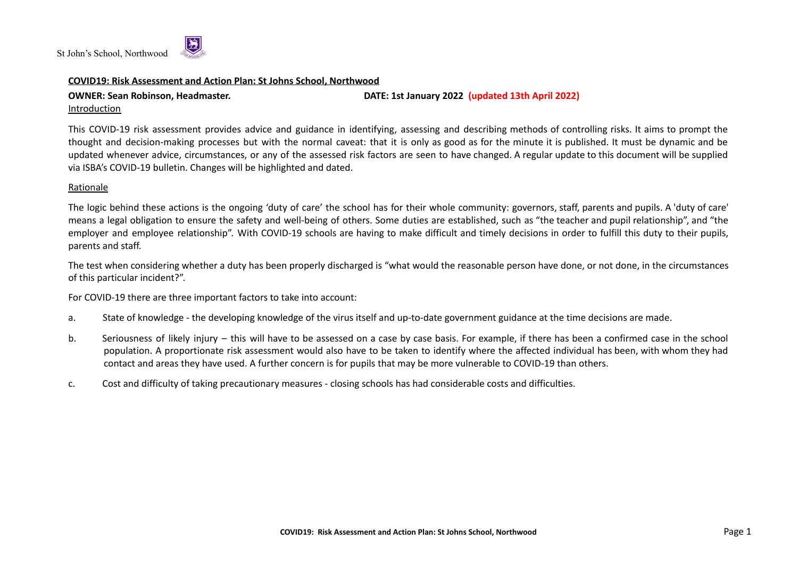

## **COVID19: Risk Assessment and Action Plan: St Johns School, Northwood**

Introduction

**OWNER: Sean Robinson, Headmaster. DATE: 1st January 2022 (updated 13th April 2022)**

This COVID-19 risk assessment provides advice and guidance in identifying, assessing and describing methods of controlling risks. It aims to prompt the thought and decision-making processes but with the normal caveat: that it is only as good as for the minute it is published. It must be dynamic and be updated whenever advice, circumstances, or any of the assessed risk factors are seen to have changed. A regular update to this document will be supplied via ISBA's COVID-19 bulletin. Changes will be highlighted and dated.

# Rationale

The logic behind these actions is the ongoing 'duty of care' the school has for their whole community: governors, staff, parents and pupils. A 'duty of care' means a legal obligation to ensure the safety and well-being of others. Some duties are established, such as "the teacher and pupil relationship", and "the employer and employee relationship". With COVID-19 schools are having to make difficult and timely decisions in order to fulfill this duty to their pupils, parents and staff.

The test when considering whether a duty has been properly discharged is "what would the reasonable person have done, or not done, in the circumstances of this particular incident?".

For COVID-19 there are three important factors to take into account:

- a. State of knowledge the developing knowledge of the virus itself and up-to-date government guidance at the time decisions are made.
- b. Seriousness of likely injury this will have to be assessed on a case by case basis. For example, if there has been a confirmed case in the school population. A proportionate risk assessment would also have to be taken to identify where the affected individual has been, with whom they had contact and areas they have used. A further concern is for pupils that may be more vulnerable to COVID-19 than others.
- c. Cost and difficulty of taking precautionary measures closing schools has had considerable costs and difficulties.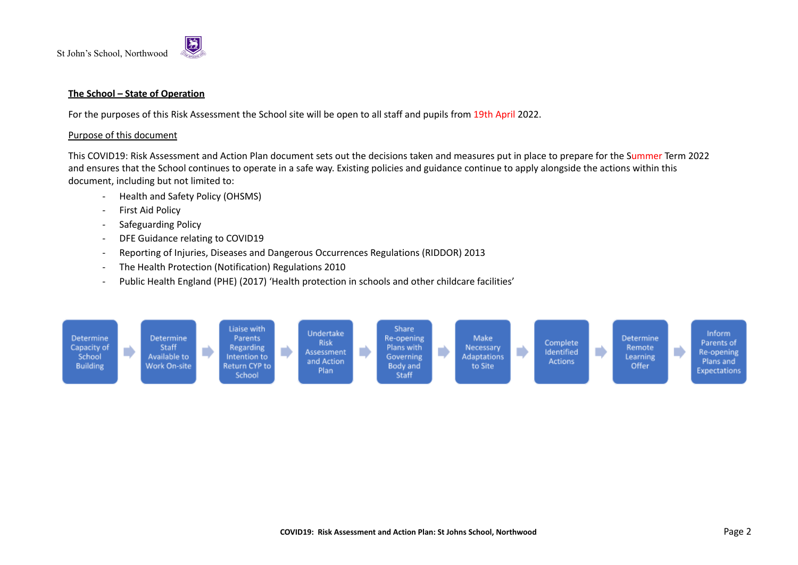

# **The School – State of Operation**

For the purposes of this Risk Assessment the School site will be open to all staff and pupils from 19th April 2022.

#### Purpose of this document

This COVID19: Risk Assessment and Action Plan document sets out the decisions taken and measures put in place to prepare for the Summer Term 2022 and ensures that the School continues to operate in a safe way. Existing policies and guidance continue to apply alongside the actions within this document, including but not limited to:

- Health and Safety Policy (OHSMS)
- First Aid Policy
- Safeguarding Policy
- DFE Guidance relating to COVID19
- Reporting of Injuries, Diseases and Dangerous Occurrences Regulations (RIDDOR) 2013
- The Health Protection (Notification) Regulations 2010
- Public Health England (PHE) (2017) 'Health protection in schools and other childcare facilities'

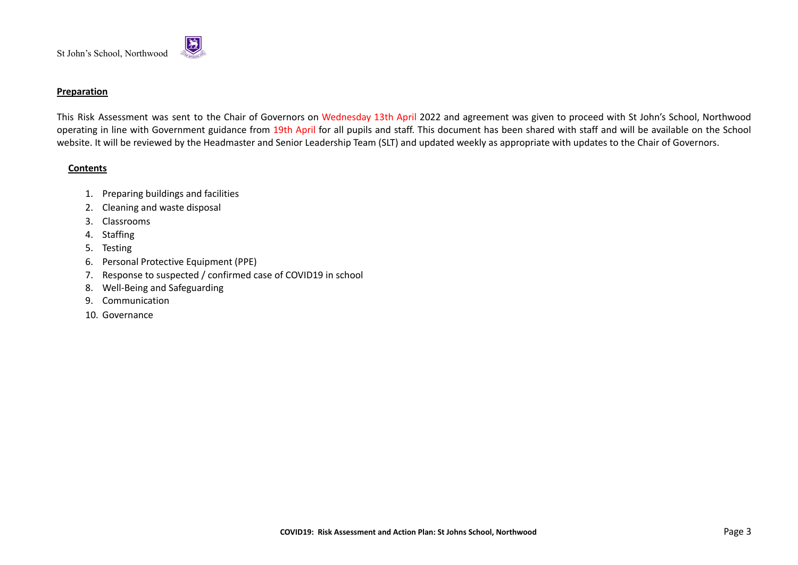

## **Preparation**

This Risk Assessment was sent to the Chair of Governors on Wednesday 13th April 2022 and agreement was given to proceed with St John's School, Northwood operating in line with Government guidance from 19th April for all pupils and staff. This document has been shared with staff and will be available on the School website. It will be reviewed by the Headmaster and Senior Leadership Team (SLT) and updated weekly as appropriate with updates to the Chair of Governors.

## **Contents**

- 1. Preparing buildings and facilities
- 2. Cleaning and waste disposal
- 3. Classrooms
- 4. Staffing
- 5. Testing
- 6. Personal Protective Equipment (PPE)
- 7. Response to suspected / confirmed case of COVID19 in school
- 8. Well-Being and Safeguarding
- 9. Communication
- 10. Governance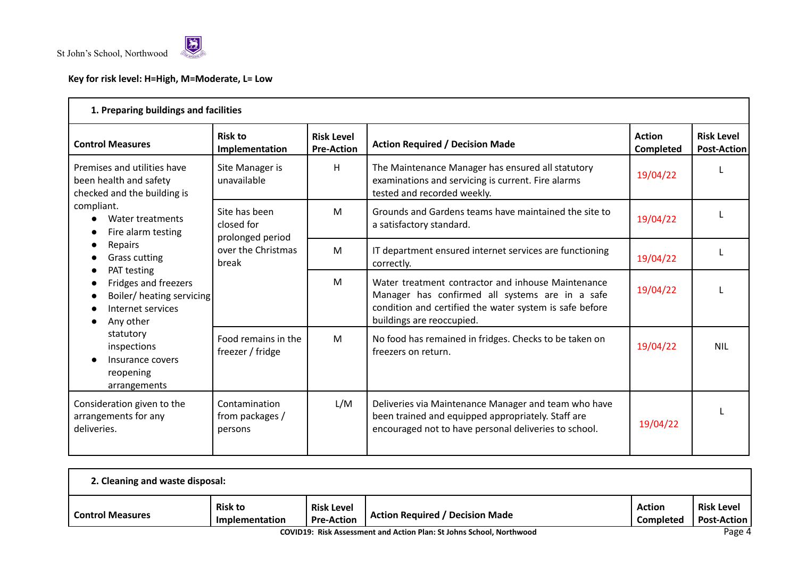

# **Key for risk level: H=High, M=Moderate, L= Low**

| 1. Preparing buildings and facilities                                                |                                                 |                                        |                                                                                                                                                                                               |                                   |                                         |  |  |  |
|--------------------------------------------------------------------------------------|-------------------------------------------------|----------------------------------------|-----------------------------------------------------------------------------------------------------------------------------------------------------------------------------------------------|-----------------------------------|-----------------------------------------|--|--|--|
| <b>Control Measures</b>                                                              | <b>Risk to</b><br>Implementation                | <b>Risk Level</b><br><b>Pre-Action</b> | <b>Action Required / Decision Made</b>                                                                                                                                                        | <b>Action</b><br><b>Completed</b> | <b>Risk Level</b><br><b>Post-Action</b> |  |  |  |
| Premises and utilities have<br>been health and safety<br>checked and the building is | Site Manager is<br>unavailable                  | H                                      | The Maintenance Manager has ensured all statutory<br>examinations and servicing is current. Fire alarms<br>tested and recorded weekly.                                                        | 19/04/22                          |                                         |  |  |  |
| compliant.<br>Water treatments<br>Fire alarm testing                                 | Site has been<br>closed for<br>prolonged period | M                                      | Grounds and Gardens teams have maintained the site to<br>a satisfactory standard.                                                                                                             | 19/04/22                          |                                         |  |  |  |
| Repairs<br><b>Grass cutting</b><br>PAT testing                                       | over the Christmas<br>break                     | M                                      | IT department ensured internet services are functioning<br>correctly.                                                                                                                         | 19/04/22                          |                                         |  |  |  |
| Fridges and freezers<br>Boiler/heating servicing<br>Internet services<br>Any other   |                                                 | M                                      | Water treatment contractor and inhouse Maintenance<br>Manager has confirmed all systems are in a safe<br>condition and certified the water system is safe before<br>buildings are reoccupied. | 19/04/22                          |                                         |  |  |  |
| statutory<br>inspections<br>Insurance covers<br>reopening<br>arrangements            | Food remains in the<br>freezer / fridge         | M                                      | No food has remained in fridges. Checks to be taken on<br>freezers on return.                                                                                                                 | 19/04/22                          | <b>NIL</b>                              |  |  |  |
| Consideration given to the<br>arrangements for any<br>deliveries.                    | Contamination<br>from packages /<br>persons     | L/M                                    | Deliveries via Maintenance Manager and team who have<br>been trained and equipped appropriately. Staff are<br>encouraged not to have personal deliveries to school.                           | 19/04/22                          |                                         |  |  |  |

| 2. Cleaning and waste disposal:                                                                                             |                                  |                                        |                                        |                            |                                         |  |  |  |
|-----------------------------------------------------------------------------------------------------------------------------|----------------------------------|----------------------------------------|----------------------------------------|----------------------------|-----------------------------------------|--|--|--|
| <b>Control Measures</b>                                                                                                     | <b>Risk to</b><br>Implementation | <b>Risk Level</b><br><b>Pre-Action</b> | <b>Action Required / Decision Made</b> | <b>Action</b><br>Completed | <b>Risk Level</b><br><b>Post-Action</b> |  |  |  |
| $D - - -$<br>ACUPACING ISLAMIC CONTROLLER IN THE SERVICE OF THE SERVICE OF THE SERVICE OF THE SERVICE OF THE SERVICE OF THE |                                  |                                        |                                        |                            |                                         |  |  |  |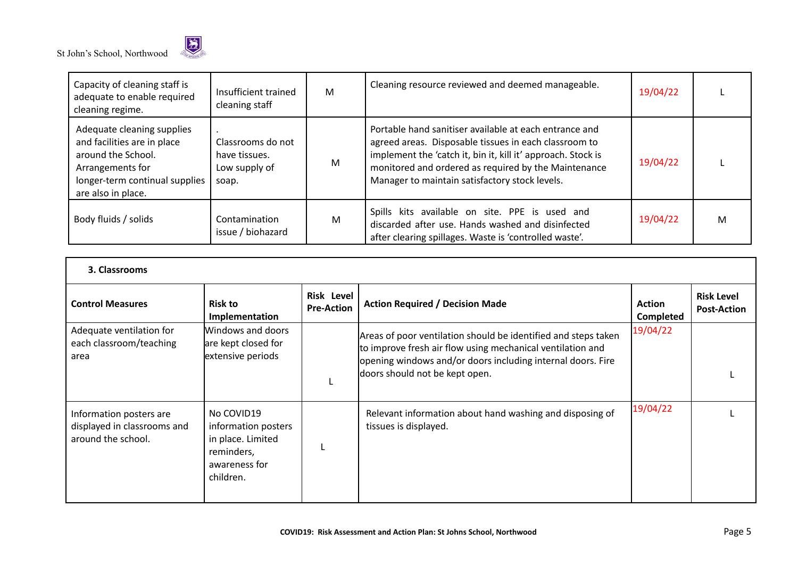

| Capacity of cleaning staff is<br>adequate to enable required<br>cleaning regime.                                                                            | Insufficient trained<br>cleaning staff                       | M | Cleaning resource reviewed and deemed manageable.                                                                                                                                                                                                                                         | 19/04/22 |   |
|-------------------------------------------------------------------------------------------------------------------------------------------------------------|--------------------------------------------------------------|---|-------------------------------------------------------------------------------------------------------------------------------------------------------------------------------------------------------------------------------------------------------------------------------------------|----------|---|
| Adequate cleaning supplies<br>and facilities are in place<br>around the School.<br>Arrangements for<br>longer-term continual supplies<br>are also in place. | Classrooms do not<br>have tissues.<br>Low supply of<br>soap. | M | Portable hand sanitiser available at each entrance and<br>agreed areas. Disposable tissues in each classroom to<br>implement the 'catch it, bin it, kill it' approach. Stock is<br>monitored and ordered as required by the Maintenance<br>Manager to maintain satisfactory stock levels. | 19/04/22 |   |
| Body fluids / solids                                                                                                                                        | Contamination<br>issue / biohazard                           | M | Spills kits available on site. PPE is used and<br>discarded after use. Hands washed and disinfected<br>after clearing spillages. Waste is 'controlled waste'.                                                                                                                             | 19/04/22 | M |

| 3. Classrooms                                                                |                                                                                                    |                                        |                                                                                                                                                                                                                               |                                   |                                         |  |  |  |  |
|------------------------------------------------------------------------------|----------------------------------------------------------------------------------------------------|----------------------------------------|-------------------------------------------------------------------------------------------------------------------------------------------------------------------------------------------------------------------------------|-----------------------------------|-----------------------------------------|--|--|--|--|
| <b>Control Measures</b>                                                      | <b>Risk to</b><br>Implementation                                                                   | <b>Risk Level</b><br><b>Pre-Action</b> | <b>Action Required / Decision Made</b>                                                                                                                                                                                        | <b>Action</b><br><b>Completed</b> | <b>Risk Level</b><br><b>Post-Action</b> |  |  |  |  |
| Adequate ventilation for<br>each classroom/teaching<br>area                  | Windows and doors<br>are kept closed for<br>extensive periods                                      |                                        | Areas of poor ventilation should be identified and steps taken<br>to improve fresh air flow using mechanical ventilation and<br>opening windows and/or doors including internal doors. Fire<br>doors should not be kept open. | 19/04/22                          |                                         |  |  |  |  |
| Information posters are<br>displayed in classrooms and<br>around the school. | No COVID19<br>information posters<br>in place. Limited<br>reminders,<br>awareness for<br>children. |                                        | Relevant information about hand washing and disposing of<br>tissues is displayed.                                                                                                                                             | 19/04/22                          |                                         |  |  |  |  |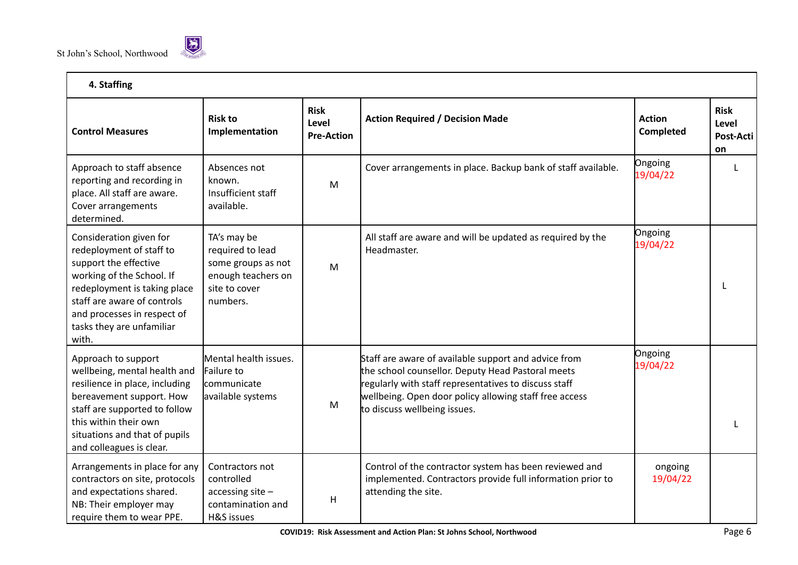

| 4. Staffing                                                                                                                                                                                                                                   |                                                                                                          |                                           |                                                                                                                                                                                                                                                              |                            |                                         |  |  |  |
|-----------------------------------------------------------------------------------------------------------------------------------------------------------------------------------------------------------------------------------------------|----------------------------------------------------------------------------------------------------------|-------------------------------------------|--------------------------------------------------------------------------------------------------------------------------------------------------------------------------------------------------------------------------------------------------------------|----------------------------|-----------------------------------------|--|--|--|
| <b>Control Measures</b>                                                                                                                                                                                                                       | <b>Risk to</b><br>Implementation                                                                         | <b>Risk</b><br>Level<br><b>Pre-Action</b> | <b>Action Required / Decision Made</b>                                                                                                                                                                                                                       | <b>Action</b><br>Completed | <b>Risk</b><br>Level<br>Post-Acti<br>on |  |  |  |
| Approach to staff absence<br>reporting and recording in<br>place. All staff are aware.<br>Cover arrangements<br>determined.                                                                                                                   | Absences not<br>known.<br>Insufficient staff<br>available.                                               | M                                         | Cover arrangements in place. Backup bank of staff available.                                                                                                                                                                                                 | Ongoing<br>19/04/22        |                                         |  |  |  |
| Consideration given for<br>redeployment of staff to<br>support the effective<br>working of the School. If<br>redeployment is taking place<br>staff are aware of controls<br>and processes in respect of<br>tasks they are unfamiliar<br>with. | TA's may be<br>required to lead<br>some groups as not<br>enough teachers on<br>site to cover<br>numbers. | M                                         | All staff are aware and will be updated as required by the<br>Headmaster.                                                                                                                                                                                    | Ongoing<br>19/04/22        |                                         |  |  |  |
| Approach to support<br>wellbeing, mental health and<br>resilience in place, including<br>bereavement support. How<br>staff are supported to follow<br>this within their own<br>situations and that of pupils<br>and colleagues is clear.      | Mental health issues.<br>Failure to<br>communicate<br>available systems                                  | M                                         | Staff are aware of available support and advice from<br>the school counsellor. Deputy Head Pastoral meets<br>regularly with staff representatives to discuss staff<br>wellbeing. Open door policy allowing staff free access<br>to discuss wellbeing issues. | Ongoing<br>19/04/22        |                                         |  |  |  |
| Arrangements in place for any<br>contractors on site, protocols<br>and expectations shared.<br>NB: Their employer may<br>require them to wear PPE.                                                                                            | Contractors not<br>controlled<br>accessing site -<br>contamination and<br>H&S issues                     | $\mathsf{H}$                              | Control of the contractor system has been reviewed and<br>implemented. Contractors provide full information prior to<br>attending the site.                                                                                                                  | ongoing<br>19/04/22        |                                         |  |  |  |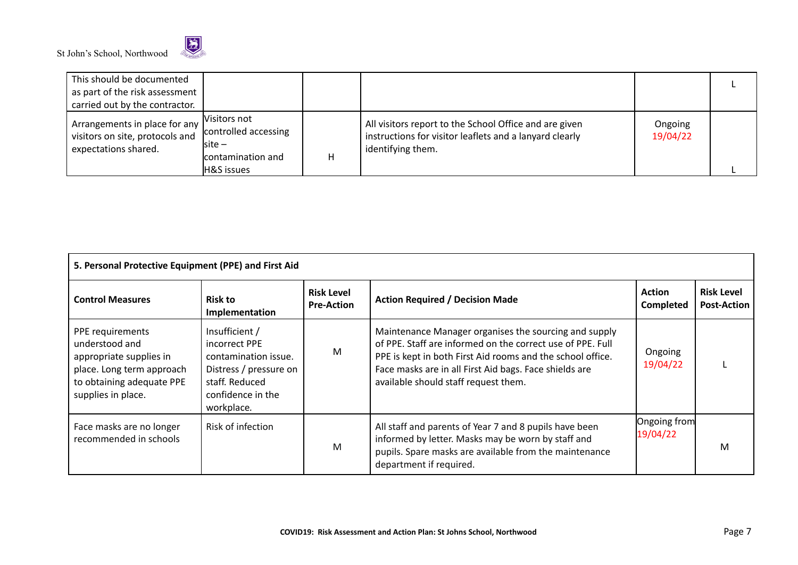

| This should be documented<br>as part of the risk assessment<br>carried out by the contractor. |                                                                                                                                         |                                                                                                                                        |                     |  |
|-----------------------------------------------------------------------------------------------|-----------------------------------------------------------------------------------------------------------------------------------------|----------------------------------------------------------------------------------------------------------------------------------------|---------------------|--|
| Arrangements in place for any<br>visitors on site, protocols and<br>expectations shared.      | Visitors not<br>controlled accessing<br>$\mathsf{Isite} \mathord{\hspace{1pt}\text{--}\hspace{1pt}}$<br>contamination and<br>H&S issues | All visitors report to the School Office and are given<br>instructions for visitor leaflets and a lanyard clearly<br>identifying them. | Ongoing<br>19/04/22 |  |

| 5. Personal Protective Equipment (PPE) and First Aid                                                                                          |                                                                                                                                        |                                        |                                                                                                                                                                                                                                                                                     |                                   |                                         |  |  |  |  |
|-----------------------------------------------------------------------------------------------------------------------------------------------|----------------------------------------------------------------------------------------------------------------------------------------|----------------------------------------|-------------------------------------------------------------------------------------------------------------------------------------------------------------------------------------------------------------------------------------------------------------------------------------|-----------------------------------|-----------------------------------------|--|--|--|--|
| <b>Control Measures</b>                                                                                                                       | <b>Risk to</b><br>Implementation                                                                                                       | <b>Risk Level</b><br><b>Pre-Action</b> | <b>Action Required / Decision Made</b>                                                                                                                                                                                                                                              | <b>Action</b><br><b>Completed</b> | <b>Risk Level</b><br><b>Post-Action</b> |  |  |  |  |
| PPE requirements<br>understood and<br>appropriate supplies in<br>place. Long term approach<br>to obtaining adequate PPE<br>supplies in place. | Insufficient /<br>incorrect PPE<br>contamination issue.<br>Distress / pressure on<br>staff. Reduced<br>confidence in the<br>workplace. | M                                      | Maintenance Manager organises the sourcing and supply<br>of PPE. Staff are informed on the correct use of PPE. Full<br>PPE is kept in both First Aid rooms and the school office.<br>Face masks are in all First Aid bags. Face shields are<br>available should staff request them. | Ongoing<br>19/04/22               |                                         |  |  |  |  |
| Face masks are no longer<br>recommended in schools                                                                                            | Risk of infection                                                                                                                      | M                                      | All staff and parents of Year 7 and 8 pupils have been<br>informed by letter. Masks may be worn by staff and<br>pupils. Spare masks are available from the maintenance<br>department if required.                                                                                   | Ongoing from<br>19/04/22          | M                                       |  |  |  |  |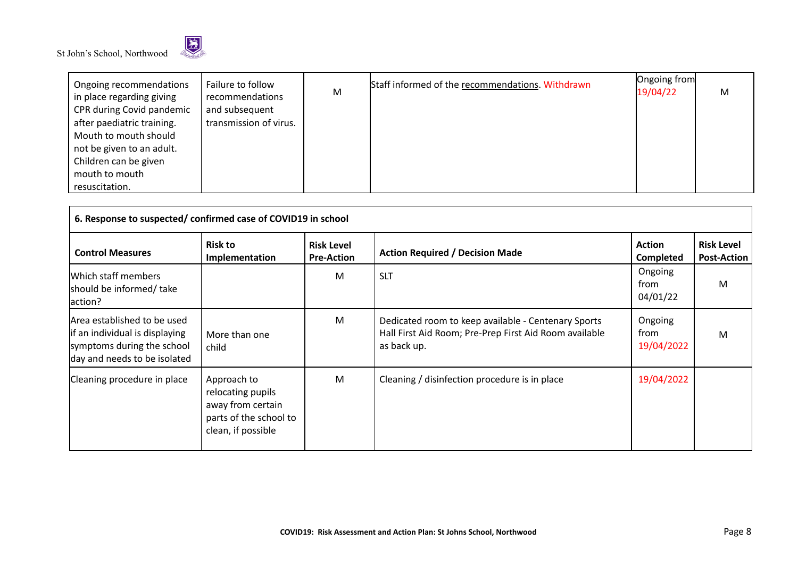

| Ongoing recommendations<br>in place regarding giving | Failure to follow<br>recommendations | М | Staff informed of the recommendations. Withdrawn | Ongoing from<br>19/04/22 | M |
|------------------------------------------------------|--------------------------------------|---|--------------------------------------------------|--------------------------|---|
| CPR during Covid pandemic                            | and subsequent                       |   |                                                  |                          |   |
| after paediatric training.                           | transmission of virus.               |   |                                                  |                          |   |
| Mouth to mouth should                                |                                      |   |                                                  |                          |   |
| not be given to an adult.                            |                                      |   |                                                  |                          |   |
| Children can be given                                |                                      |   |                                                  |                          |   |
| mouth to mouth                                       |                                      |   |                                                  |                          |   |
| resuscitation.                                       |                                      |   |                                                  |                          |   |

| 6. Response to suspected/confirmed case of COVID19 in school                                                                 |                                                                                                       |                                        |                                                                                                                              |                               |                                         |  |  |  |
|------------------------------------------------------------------------------------------------------------------------------|-------------------------------------------------------------------------------------------------------|----------------------------------------|------------------------------------------------------------------------------------------------------------------------------|-------------------------------|-----------------------------------------|--|--|--|
| <b>Control Measures</b>                                                                                                      | <b>Risk to</b><br>Implementation                                                                      | <b>Risk Level</b><br><b>Pre-Action</b> | <b>Action Required / Decision Made</b>                                                                                       | <b>Action</b><br>Completed    | <b>Risk Level</b><br><b>Post-Action</b> |  |  |  |
| Which staff members<br>should be informed/ take<br>action?                                                                   |                                                                                                       | м                                      | <b>SLT</b>                                                                                                                   | Ongoing<br>from<br>04/01/22   | M                                       |  |  |  |
| Area established to be used<br>lif an individual is displaying<br>symptoms during the school<br>day and needs to be isolated | More than one<br>child                                                                                | M                                      | Dedicated room to keep available - Centenary Sports<br>Hall First Aid Room; Pre-Prep First Aid Room available<br>as back up. | Ongoing<br>from<br>19/04/2022 | M                                       |  |  |  |
| Cleaning procedure in place                                                                                                  | Approach to<br>relocating pupils<br>away from certain<br>parts of the school to<br>clean, if possible | M                                      | Cleaning / disinfection procedure is in place                                                                                | 19/04/2022                    |                                         |  |  |  |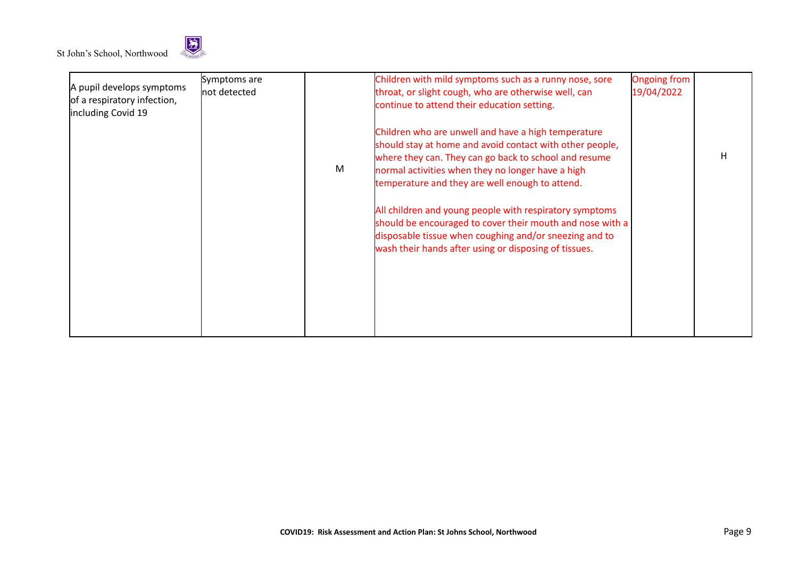

|                                                          | Symptoms are  |   | Children with mild symptoms such as a runny nose, sore    | <b>Ongoing from</b> |   |
|----------------------------------------------------------|---------------|---|-----------------------------------------------------------|---------------------|---|
| A pupil develops symptoms<br>of a respiratory infection, | lnot detected |   | throat, or slight cough, who are otherwise well, can      | 19/04/2022          |   |
| including Covid 19                                       |               |   | continue to attend their education setting.               |                     |   |
|                                                          |               |   | Children who are unwell and have a high temperature       |                     |   |
|                                                          |               |   | should stay at home and avoid contact with other people,  |                     |   |
|                                                          |               |   | where they can. They can go back to school and resume     |                     | H |
|                                                          |               | M | normal activities when they no longer have a high         |                     |   |
|                                                          |               |   | temperature and they are well enough to attend.           |                     |   |
|                                                          |               |   | All children and young people with respiratory symptoms   |                     |   |
|                                                          |               |   | should be encouraged to cover their mouth and nose with a |                     |   |
|                                                          |               |   | disposable tissue when coughing and/or sneezing and to    |                     |   |
|                                                          |               |   | wash their hands after using or disposing of tissues.     |                     |   |
|                                                          |               |   |                                                           |                     |   |
|                                                          |               |   |                                                           |                     |   |
|                                                          |               |   |                                                           |                     |   |
|                                                          |               |   |                                                           |                     |   |
|                                                          |               |   |                                                           |                     |   |
|                                                          |               |   |                                                           |                     |   |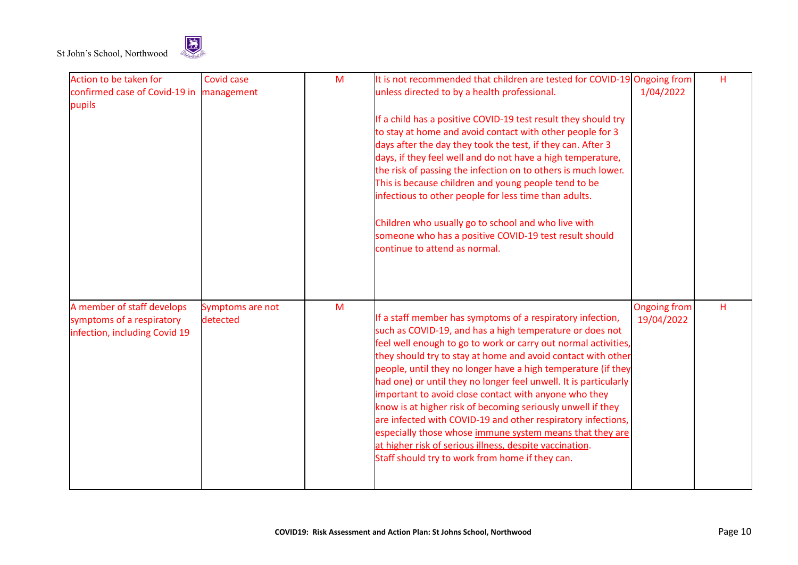

| Action to be taken for                  | Covid case       | M | It is not recommended that children are tested for COVID-19 Ongoing from                                             |                     | Н |
|-----------------------------------------|------------------|---|----------------------------------------------------------------------------------------------------------------------|---------------------|---|
| confirmed case of Covid-19 in<br>pupils | management       |   | unless directed to by a health professional.                                                                         | 1/04/2022           |   |
|                                         |                  |   | If a child has a positive COVID-19 test result they should try                                                       |                     |   |
|                                         |                  |   | to stay at home and avoid contact with other people for 3                                                            |                     |   |
|                                         |                  |   | days after the day they took the test, if they can. After 3                                                          |                     |   |
|                                         |                  |   | days, if they feel well and do not have a high temperature,                                                          |                     |   |
|                                         |                  |   | the risk of passing the infection on to others is much lower.                                                        |                     |   |
|                                         |                  |   | This is because children and young people tend to be                                                                 |                     |   |
|                                         |                  |   | infectious to other people for less time than adults.                                                                |                     |   |
|                                         |                  |   | Children who usually go to school and who live with                                                                  |                     |   |
|                                         |                  |   | someone who has a positive COVID-19 test result should                                                               |                     |   |
|                                         |                  |   | continue to attend as normal.                                                                                        |                     |   |
|                                         |                  |   |                                                                                                                      |                     |   |
| A member of staff develops              | Symptoms are not | M |                                                                                                                      | <b>Ongoing from</b> | н |
| symptoms of a respiratory               | detected         |   | If a staff member has symptoms of a respiratory infection,                                                           | 19/04/2022          |   |
| infection, including Covid 19           |                  |   | such as COVID-19, and has a high temperature or does not                                                             |                     |   |
|                                         |                  |   | feel well enough to go to work or carry out normal activities,                                                       |                     |   |
|                                         |                  |   | they should try to stay at home and avoid contact with other                                                         |                     |   |
|                                         |                  |   | people, until they no longer have a high temperature (if they                                                        |                     |   |
|                                         |                  |   | had one) or until they no longer feel unwell. It is particularly                                                     |                     |   |
|                                         |                  |   | important to avoid close contact with anyone who they<br>know is at higher risk of becoming seriously unwell if they |                     |   |
|                                         |                  |   | are infected with COVID-19 and other respiratory infections,                                                         |                     |   |
|                                         |                  |   | especially those whose immune system means that they are                                                             |                     |   |
|                                         |                  |   | at higher risk of serious illness, despite vaccination.                                                              |                     |   |
|                                         |                  |   | Staff should try to work from home if they can.                                                                      |                     |   |
|                                         |                  |   |                                                                                                                      |                     |   |
|                                         |                  |   |                                                                                                                      |                     |   |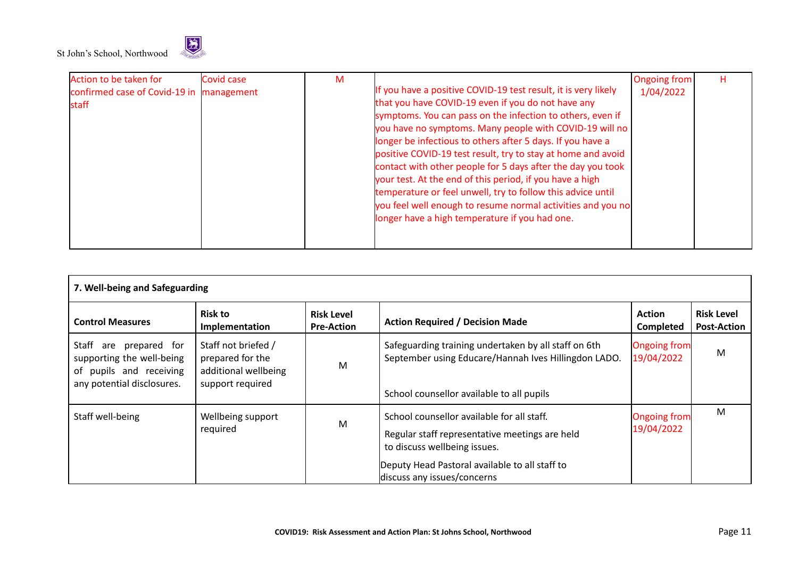

| Action to be taken for                   | Covid case | M |                                                                | <b>Ongoing from</b> | н |
|------------------------------------------|------------|---|----------------------------------------------------------------|---------------------|---|
| confirmed case of Covid-19 in management |            |   | If you have a positive COVID-19 test result, it is very likely | 1/04/2022           |   |
| staff                                    |            |   | that you have COVID-19 even if you do not have any             |                     |   |
|                                          |            |   | symptoms. You can pass on the infection to others, even if     |                     |   |
|                                          |            |   | you have no symptoms. Many people with COVID-19 will no        |                     |   |
|                                          |            |   | longer be infectious to others after 5 days. If you have a     |                     |   |
|                                          |            |   | positive COVID-19 test result, try to stay at home and avoid   |                     |   |
|                                          |            |   | contact with other people for 5 days after the day you took    |                     |   |
|                                          |            |   | your test. At the end of this period, if you have a high       |                     |   |
|                                          |            |   | temperature or feel unwell, try to follow this advice until    |                     |   |
|                                          |            |   | you feel well enough to resume normal activities and you no    |                     |   |
|                                          |            |   | longer have a high temperature if you had one.                 |                     |   |
|                                          |            |   |                                                                |                     |   |
|                                          |            |   |                                                                |                     |   |

| 7. Well-being and Safeguarding                                                                               |                                                                                     |                                        |                                                                                                                              |                                   |                                         |  |
|--------------------------------------------------------------------------------------------------------------|-------------------------------------------------------------------------------------|----------------------------------------|------------------------------------------------------------------------------------------------------------------------------|-----------------------------------|-----------------------------------------|--|
| <b>Control Measures</b>                                                                                      | <b>Risk to</b><br>Implementation                                                    | <b>Risk Level</b><br><b>Pre-Action</b> | <b>Action Required / Decision Made</b>                                                                                       | <b>Action</b><br><b>Completed</b> | <b>Risk Level</b><br><b>Post-Action</b> |  |
| Staff are prepared for<br>supporting the well-being<br>of pupils and receiving<br>any potential disclosures. | Staff not briefed /<br>prepared for the<br>additional wellbeing<br>support required | M                                      | Safeguarding training undertaken by all staff on 6th<br>September using Educare/Hannah Ives Hillingdon LADO.                 | <b>Ongoing from</b><br>19/04/2022 | M                                       |  |
|                                                                                                              |                                                                                     |                                        | School counsellor available to all pupils                                                                                    |                                   |                                         |  |
| Staff well-being                                                                                             | Wellbeing support<br>required                                                       | M                                      | School counsellor available for all staff.<br>Regular staff representative meetings are held<br>to discuss wellbeing issues. | <b>Ongoing from</b><br>19/04/2022 | M                                       |  |
|                                                                                                              |                                                                                     |                                        | Deputy Head Pastoral available to all staff to<br>discuss any issues/concerns                                                |                                   |                                         |  |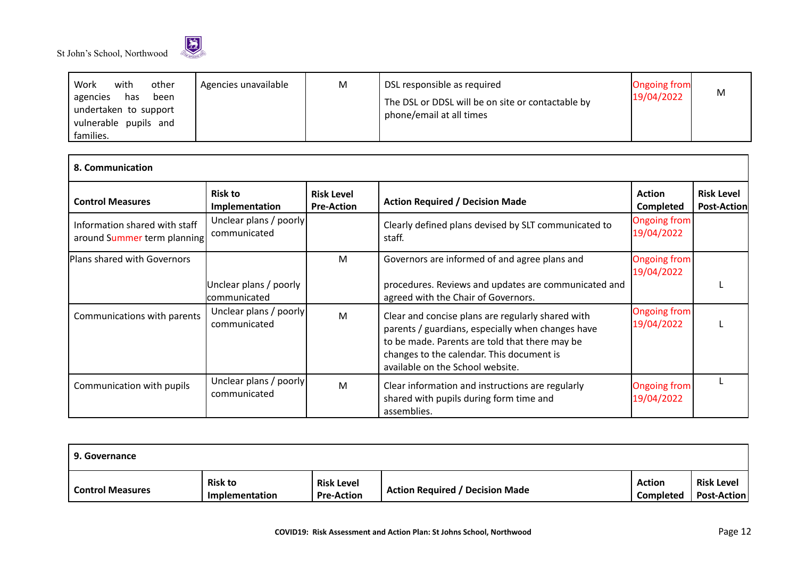



| Work<br>with<br>other<br>Agencies unavailable<br>agencies<br>has<br>been<br>undertaken to support<br>vulnerable pupils and<br>families. | M | DSL responsible as required<br>The DSL or DDSL will be on site or contactable by<br>phone/email at all times | <b>Ongoing from</b><br>19/04/2022 | M |
|-----------------------------------------------------------------------------------------------------------------------------------------|---|--------------------------------------------------------------------------------------------------------------|-----------------------------------|---|
|-----------------------------------------------------------------------------------------------------------------------------------------|---|--------------------------------------------------------------------------------------------------------------|-----------------------------------|---|

| 8. Communication                                             |                                        |                                        |                                                                                                                                                                                                                                           |                                   |                                  |  |
|--------------------------------------------------------------|----------------------------------------|----------------------------------------|-------------------------------------------------------------------------------------------------------------------------------------------------------------------------------------------------------------------------------------------|-----------------------------------|----------------------------------|--|
| <b>Control Measures</b>                                      | <b>Risk to</b><br>Implementation       | <b>Risk Level</b><br><b>Pre-Action</b> | <b>Action Required / Decision Made</b>                                                                                                                                                                                                    | <b>Action</b><br>Completed        | <b>Risk Level</b><br>Post-Action |  |
| Information shared with staff<br>around Summer term planning | Unclear plans / poorly<br>communicated |                                        | Clearly defined plans devised by SLT communicated to<br>staff.                                                                                                                                                                            | <b>Ongoing from</b><br>19/04/2022 |                                  |  |
| Plans shared with Governors                                  |                                        | м                                      | Governors are informed of and agree plans and                                                                                                                                                                                             | Ongoing from<br>19/04/2022        |                                  |  |
|                                                              | Unclear plans / poorly<br>communicated |                                        | procedures. Reviews and updates are communicated and<br>agreed with the Chair of Governors.                                                                                                                                               |                                   |                                  |  |
| Communications with parents                                  | Unclear plans / poorly<br>communicated | M                                      | Clear and concise plans are regularly shared with<br>parents / guardians, especially when changes have<br>to be made. Parents are told that there may be<br>changes to the calendar. This document is<br>available on the School website. | <b>Ongoing from</b><br>19/04/2022 |                                  |  |
| Communication with pupils                                    | Unclear plans / poorly<br>communicated | M                                      | Clear information and instructions are regularly<br>shared with pupils during form time and<br>assemblies.                                                                                                                                | <b>Ongoing from</b><br>19/04/2022 |                                  |  |

| 9. Governance           |                                  |                                        |                                        |                            |                                         |  |  |
|-------------------------|----------------------------------|----------------------------------------|----------------------------------------|----------------------------|-----------------------------------------|--|--|
| <b>Control Measures</b> | <b>Risk to</b><br>Implementation | <b>Risk Level</b><br><b>Pre-Action</b> | <b>Action Required / Decision Made</b> | <b>Action</b><br>Completed | <b>Risk Level</b><br><b>Post-Action</b> |  |  |